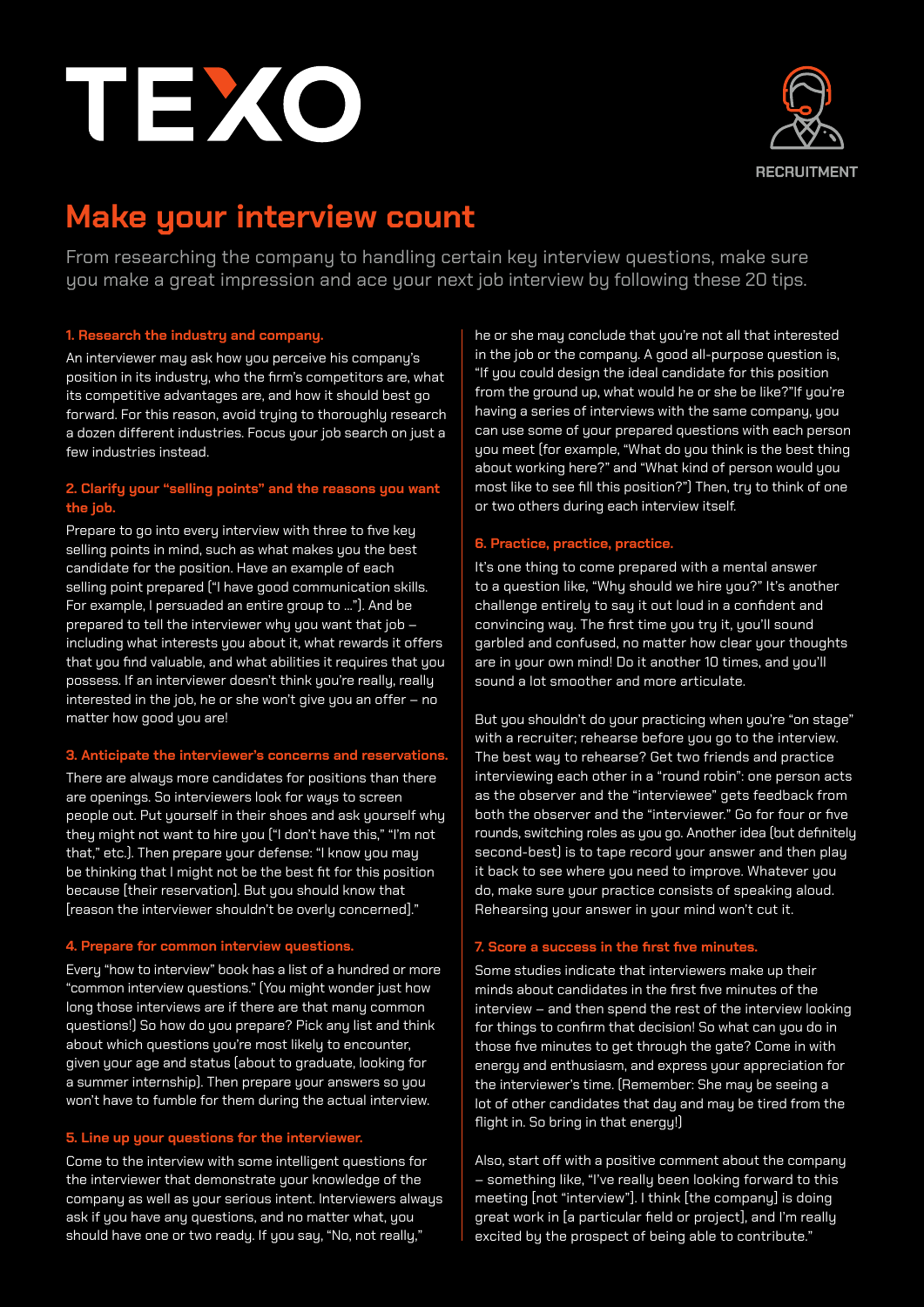



# **Make your interview count**

From researching the company to handling certain key interview questions, make sure you make a great impression and ace your next job interview by following these 20 tips.

## **1. Research the industry and company.**

An interviewer may ask how you perceive his company's position in its industry, who the firm's competitors are, what its competitive advantages are, and how it should best go forward. For this reason, avoid trying to thoroughly research a dozen different industries. Focus your job search on just a few industries instead.

# **2. Clarify your "selling points" and the reasons you want the job.**

Prepare to go into every interview with three to five key selling points in mind, such as what makes you the best candidate for the position. Have an example of each selling point prepared ("I have good communication skills. For example, I persuaded an entire group to ..."). And be prepared to tell the interviewer why you want that job – including what interests you about it, what rewards it offers that you find valuable, and what abilities it requires that you possess. If an interviewer doesn't think you're really, really interested in the job, he or she won't give you an offer – no matter how good you are!

## **3. Anticipate the interviewer's concerns and reservations.**

There are always more candidates for positions than there are openings. So interviewers look for ways to screen people out. Put yourself in their shoes and ask yourself why they might not want to hire you ("I don't have this," "I'm not that," etc.). Then prepare your defense: "I know you may be thinking that I might not be the best fit for this position because [their reservation]. But you should know that [reason the interviewer shouldn't be overly concerned]."

## **4. Prepare for common interview questions.**

Every "how to interview" book has a list of a hundred or more "common interview questions." (You might wonder just how long those interviews are if there are that many common questions!) So how do you prepare? Pick any list and think about which questions you're most likely to encounter, given your age and status (about to graduate, looking for a summer internship). Then prepare your answers so you won't have to fumble for them during the actual interview.

## **5. Line up your questions for the interviewer.**

Come to the interview with some intelligent questions for the interviewer that demonstrate your knowledge of the company as well as your serious intent. Interviewers always ask if you have any questions, and no matter what, you should have one or two ready. If you say, "No, not really,"

he or she may conclude that you're not all that interested in the job or the company. A good all-purpose question is, "If you could design the ideal candidate for this position from the ground up, what would he or she be like?"If you're having a series of interviews with the same company, you can use some of your prepared questions with each person you meet (for example, "What do you think is the best thing about working here?" and "What kind of person would you most like to see fill this position?") Then, try to think of one or two others during each interview itself.

## **6. Practice, practice, practice.**

It's one thing to come prepared with a mental answer to a question like, "Why should we hire you?" It's another challenge entirely to say it out loud in a confident and convincing way. The first time you try it, you'll sound garbled and confused, no matter how clear your thoughts are in your own mind! Do it another 10 times, and you'll sound a lot smoother and more articulate.

But you shouldn't do your practicing when you're "on stage" with a recruiter; rehearse before you go to the interview. The best way to rehearse? Get two friends and practice interviewing each other in a "round robin": one person acts as the observer and the "interviewee" gets feedback from both the observer and the "interviewer." Go for four or five rounds, switching roles as you go. Another idea (but definitely second-best) is to tape record your answer and then play it back to see where you need to improve. Whatever you do, make sure your practice consists of speaking aloud. Rehearsing your answer in your mind won't cut it.

## **7. Score a success in the first five minutes.**

Some studies indicate that interviewers make up their minds about candidates in the first five minutes of the interview – and then spend the rest of the interview looking for things to confirm that decision! So what can you do in those five minutes to get through the gate? Come in with energy and enthusiasm, and express your appreciation for the interviewer's time. (Remember: She may be seeing a lot of other candidates that day and may be tired from the flight in. So bring in that energy!)

Also, start off with a positive comment about the company – something like, "I've really been looking forward to this meeting [not "interview"]. I think [the company] is doing great work in [a particular field or project], and I'm really excited by the prospect of being able to contribute."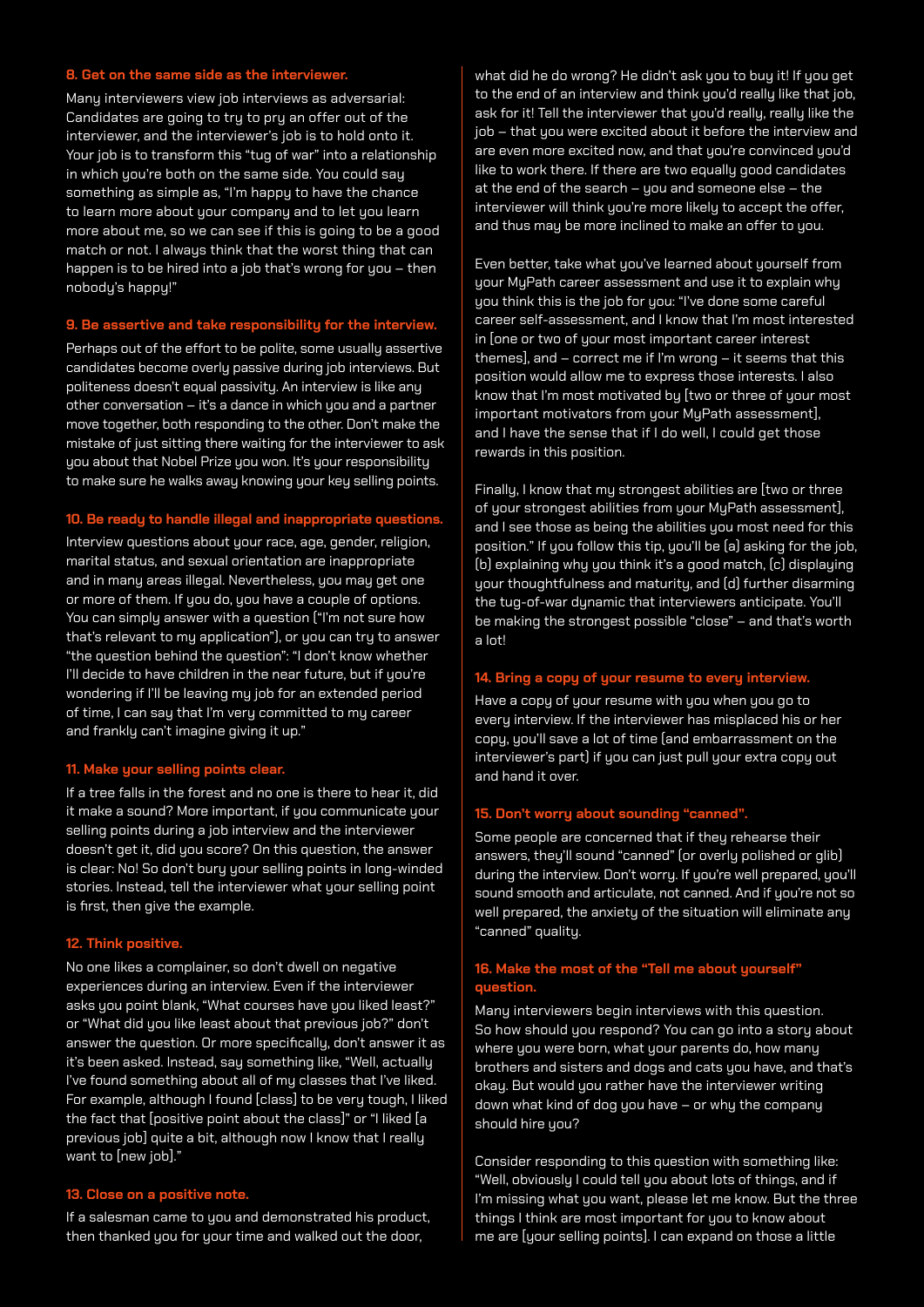## **8. Get on the same side as the interviewer.**

Many interviewers view job interviews as adversarial: Candidates are going to try to pry an offer out of the interviewer, and the interviewer's job is to hold onto it. Your job is to transform this "tug of war" into a relationship in which you're both on the same side. You could say something as simple as, "I'm happy to have the chance to learn more about your company and to let you learn more about me, so we can see if this is going to be a good match or not. I always think that the worst thing that can happen is to be hired into a job that's wrong for you – then nobody's happy!"

### **9. Be assertive and take responsibility for the interview.**

Perhaps out of the effort to be polite, some usually assertive candidates become overly passive during job interviews. But politeness doesn't equal passivity. An interview is like any other conversation – it's a dance in which you and a partner move together, both responding to the other. Don't make the mistake of just sitting there waiting for the interviewer to ask you about that Nobel Prize you won. It's your responsibility to make sure he walks away knowing your key selling points.

## **10. Be ready to handle illegal and inappropriate questions.**

Interview questions about your race, age, gender, religion, marital status, and sexual orientation are inappropriate and in many areas illegal. Nevertheless, you may get one or more of them. If you do, you have a couple of options. You can simply answer with a question ("I'm not sure how that's relevant to my application"), or you can try to answer "the question behind the question": "I don't know whether I'll decide to have children in the near future, but if you're wondering if I'll be leaving my job for an extended period of time, I can say that I'm very committed to my career and frankly can't imagine giving it up."

#### **11. Make your selling points clear.**

If a tree falls in the forest and no one is there to hear it, did it make a sound? More important, if you communicate your selling points during a job interview and the interviewer doesn't get it, did you score? On this question, the answer is clear: No! So don't bury your selling points in long-winded stories. Instead, tell the interviewer what your selling point is first, then give the example.

#### **12. Think positive.**

No one likes a complainer, so don't dwell on negative experiences during an interview. Even if the interviewer asks you point blank, "What courses have you liked least?" or "What did you like least about that previous job?" don't answer the question. Or more specifically, don't answer it as it's been asked. Instead, say something like, "Well, actually I've found something about all of my classes that I've liked. For example, although I found [class] to be very tough, I liked the fact that [positive point about the class]" or "I liked [a previous job] quite a bit, although now I know that I really want to [new job]."

#### **13. Close on a positive note.**

If a salesman came to you and demonstrated his product, then thanked you for your time and walked out the door,

what did he do wrong? He didn't ask you to buy it! If you get to the end of an interview and think you'd really like that job, ask for it! Tell the interviewer that you'd really, really like the iob – that you were excited about it before the interview and are even more excited now, and that you're convinced you'd like to work there. If there are two equally good candidates at the end of the search – you and someone else – the interviewer will think you're more likely to accept the offer, and thus may be more inclined to make an offer to you.

Even better, take what you've learned about yourself from your MyPath career assessment and use it to explain why you think this is the job for you: "I've done some careful career self-assessment, and I know that I'm most interested in [one or two of your most important career interest themes], and – correct me if I'm wrong – it seems that this position would allow me to express those interests. I also know that I'm most motivated by [two or three of your most important motivators from your MyPath assessment], and I have the sense that if I do well, I could get those rewards in this position.

Finally, I know that my strongest abilities are [two or three of your strongest abilities from your MyPath assessment], and I see those as being the abilities you most need for this position." If you follow this tip, you'll be (a) asking for the job, (b) explaining why you think it's a good match, (c) displaying your thoughtfulness and maturity, and (d) further disarming the tug-of-war dynamic that interviewers anticipate. You'll be making the strongest possible "close" – and that's worth a lot!

## **14. Bring a copy of your resume to every interview.**

Have a copy of your resume with you when you go to every interview. If the interviewer has misplaced his or her copy, you'll save a lot of time (and embarrassment on the interviewer's part) if you can just pull your extra copy out and hand it over.

## **15. Don't worry about sounding "canned".**

Some people are concerned that if they rehearse their answers, they'll sound "canned" (or overly polished or glib) during the interview. Don't worry. If you're well prepared, you'll sound smooth and articulate, not canned. And if you're not so well prepared, the anxiety of the situation will eliminate any "canned" quality.

# **16. Make the most of the "Tell me about yourself" question.**

Many interviewers begin interviews with this question. So how should you respond? You can go into a story about where you were born, what your parents do, how many brothers and sisters and dogs and cats you have, and that's okay. But would you rather have the interviewer writing down what kind of dog you have – or why the company should hire you?

Consider responding to this question with something like: "Well, obviously I could tell you about lots of things, and if I'm missing what you want, please let me know. But the three things I think are most important for you to know about me are [your selling points]. I can expand on those a little